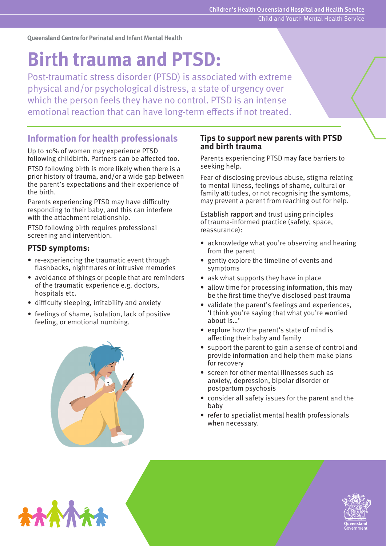**Queensland Centre for Perinatal and Infant Mental Health**

# **Birth trauma and PTSD:**

Post-traumatic stress disorder (PTSD) is associated with extreme physical and/or psychological distress, a state of urgency over which the person feels they have no control. PTSD is an intense emotional reaction that can have long-term effects if not treated.

# **Information for health professionals**

Up to 10% of women may experience PTSD following childbirth. Partners can be affected too. PTSD following birth is more likely when there is a prior history of trauma, and/or a wide gap between the parent's expectations and their experience of the birth.

Parents experiencing PTSD may have difficulty responding to their baby, and this can interfere with the attachment relationship.

PTSD following birth requires professional screening and intervention.

### **PTSD symptoms:**

- re-experiencing the traumatic event through flashbacks, nightmares or intrusive memories
- avoidance of things or people that are reminders of the traumatic experience e.g. doctors, hospitals etc.
- difficulty sleeping, irritability and anxiety
- feelings of shame, isolation, lack of positive feeling, or emotional numbing.



#### **Tips to support new parents with PTSD and birth trauma**

Parents experiencing PTSD may face barriers to seeking help.

Fear of disclosing previous abuse, stigma relating to mental illness, feelings of shame, cultural or family attitudes, or not recognising the symtoms, may prevent a parent from reaching out for help.

Establish rapport and trust using principles of trauma-informed practice (safety, space, reassurance):

- acknowledge what you're observing and hearing from the parent
- gently explore the timeline of events and symptoms
- ask what supports they have in place
- allow time for processing information, this may be the first time they've disclosed past trauma
- validate the parent's feelings and experiences, 'I think you're saying that what you're worried about is…'
- explore how the parent's state of mind is affecting their baby and family
- support the parent to gain a sense of control and provide information and help them make plans for recovery
- screen for other mental illnesses such as anxiety, depression, bipolar disorder or postpartum psychosis
- consider all safety issues for the parent and the baby
- refer to specialist mental health professionals when necessary.